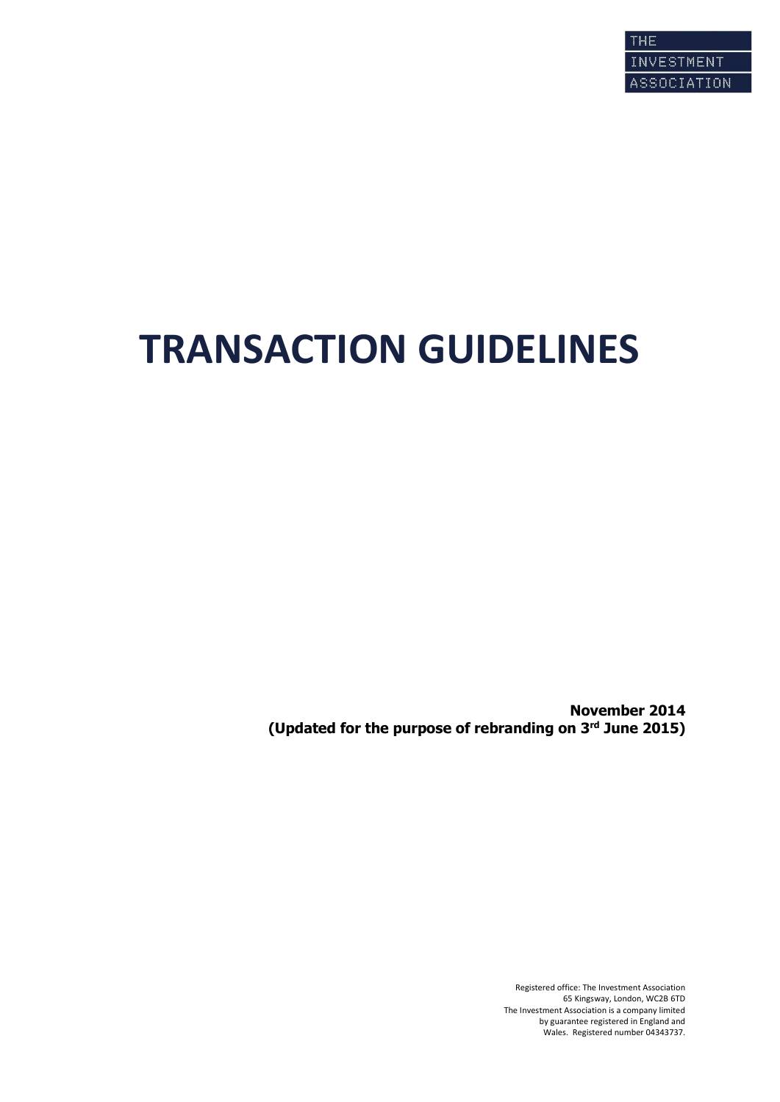

# **TRANSACTION GUIDELINES**

**November 2014 (Updated for the purpose of rebranding on 3 rd June 2015)**

> Registered office: The Investment Association 65 Kingsway, London, WC2B 6TD The Investment Association is a company limited by guarantee registered in England and Wales. Registered number 04343737.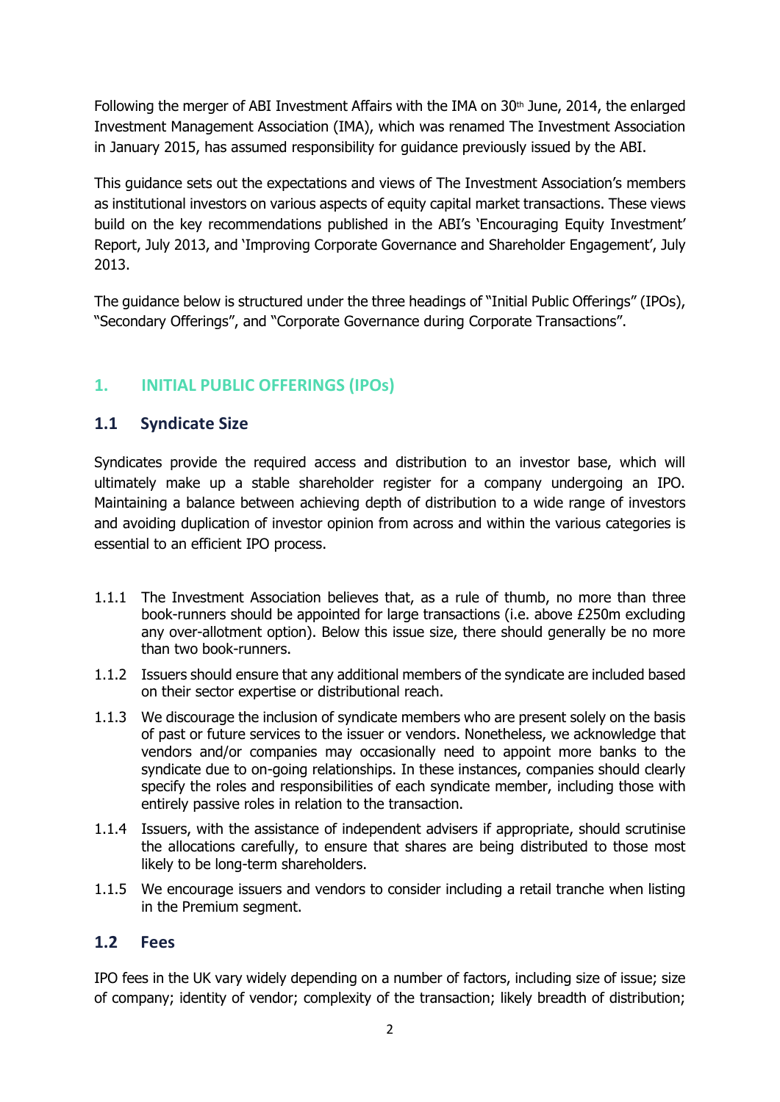Following the merger of ABI Investment Affairs with the IMA on 30<sup>th</sup> June, 2014, the enlarged Investment Management Association (IMA), which was renamed The Investment Association in January 2015, has assumed responsibility for guidance previously issued by the ABI.

This guidance sets out the expectations and views of The Investment Association's members as institutional investors on various aspects of equity capital market transactions. These views build on the key recommendations published in the ABI's 'Encouraging Equity Investment' Report, July 2013, and 'Improving Corporate Governance and Shareholder Engagement', July 2013.

The guidance below is structured under the three headings of "Initial Public Offerings" (IPOs), "Secondary Offerings", and "Corporate Governance during Corporate Transactions".

## **1. INITIAL PUBLIC OFFERINGS (IPOs)**

## **1.1 Syndicate Size**

Syndicates provide the required access and distribution to an investor base, which will ultimately make up a stable shareholder register for a company undergoing an IPO. Maintaining a balance between achieving depth of distribution to a wide range of investors and avoiding duplication of investor opinion from across and within the various categories is essential to an efficient IPO process.

- 1.1.1 The Investment Association believes that, as a rule of thumb, no more than three book-runners should be appointed for large transactions (i.e. above £250m excluding any over-allotment option). Below this issue size, there should generally be no more than two book-runners.
- 1.1.2 Issuers should ensure that any additional members of the syndicate are included based on their sector expertise or distributional reach.
- 1.1.3 We discourage the inclusion of syndicate members who are present solely on the basis of past or future services to the issuer or vendors. Nonetheless, we acknowledge that vendors and/or companies may occasionally need to appoint more banks to the syndicate due to on-going relationships. In these instances, companies should clearly specify the roles and responsibilities of each syndicate member, including those with entirely passive roles in relation to the transaction.
- 1.1.4 Issuers, with the assistance of independent advisers if appropriate, should scrutinise the allocations carefully, to ensure that shares are being distributed to those most likely to be long-term shareholders.
- 1.1.5 We encourage issuers and vendors to consider including a retail tranche when listing in the Premium segment.

#### **1.2 Fees**

IPO fees in the UK vary widely depending on a number of factors, including size of issue; size of company; identity of vendor; complexity of the transaction; likely breadth of distribution;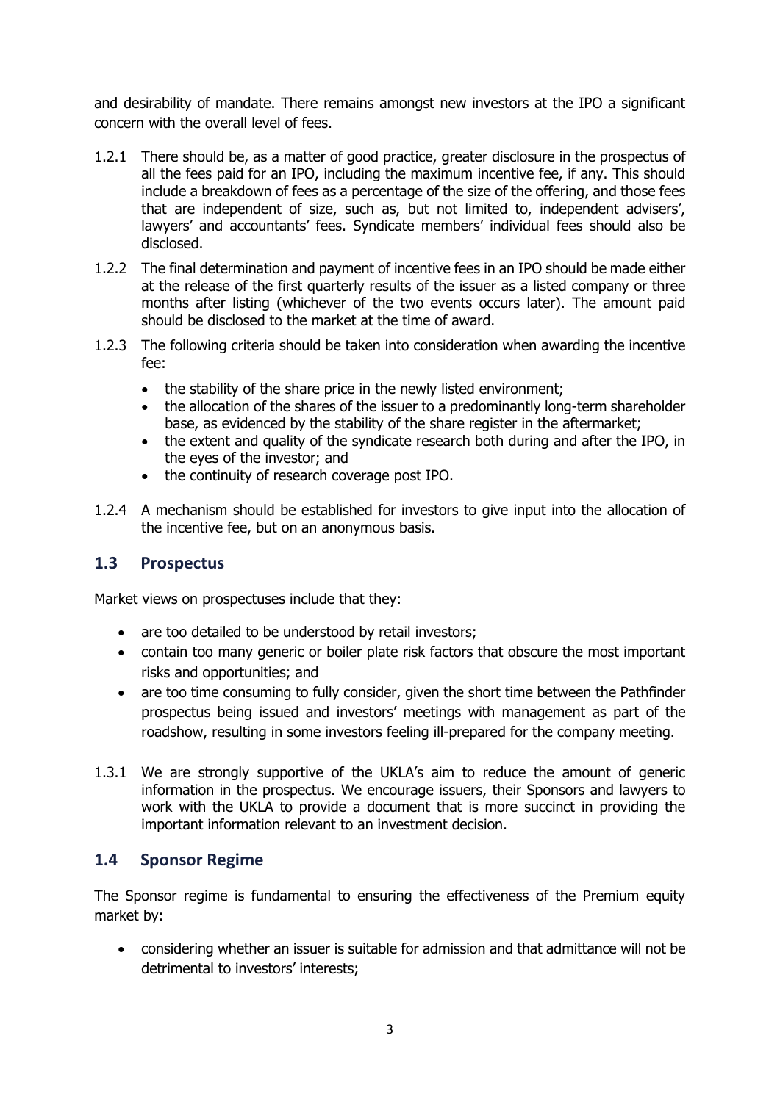and desirability of mandate. There remains amongst new investors at the IPO a significant concern with the overall level of fees.

- 1.2.1 There should be, as a matter of good practice, greater disclosure in the prospectus of all the fees paid for an IPO, including the maximum incentive fee, if any. This should include a breakdown of fees as a percentage of the size of the offering, and those fees that are independent of size, such as, but not limited to, independent advisers', lawyers' and accountants' fees. Syndicate members' individual fees should also be disclosed.
- 1.2.2 The final determination and payment of incentive fees in an IPO should be made either at the release of the first quarterly results of the issuer as a listed company or three months after listing (whichever of the two events occurs later). The amount paid should be disclosed to the market at the time of award.
- 1.2.3 The following criteria should be taken into consideration when awarding the incentive fee:
	- the stability of the share price in the newly listed environment:
	- the allocation of the shares of the issuer to a predominantly long-term shareholder base, as evidenced by the stability of the share register in the aftermarket;
	- the extent and quality of the syndicate research both during and after the IPO, in the eyes of the investor; and
	- the continuity of research coverage post IPO.
- 1.2.4 A mechanism should be established for investors to give input into the allocation of the incentive fee, but on an anonymous basis.

#### **1.3 Prospectus**

Market views on prospectuses include that they:

- are too detailed to be understood by retail investors;
- contain too many generic or boiler plate risk factors that obscure the most important risks and opportunities; and
- are too time consuming to fully consider, given the short time between the Pathfinder prospectus being issued and investors' meetings with management as part of the roadshow, resulting in some investors feeling ill-prepared for the company meeting.
- 1.3.1 We are strongly supportive of the UKLA's aim to reduce the amount of generic information in the prospectus. We encourage issuers, their Sponsors and lawyers to work with the UKLA to provide a document that is more succinct in providing the important information relevant to an investment decision.

#### **1.4 Sponsor Regime**

The Sponsor regime is fundamental to ensuring the effectiveness of the Premium equity market by:

 considering whether an issuer is suitable for admission and that admittance will not be detrimental to investors' interests;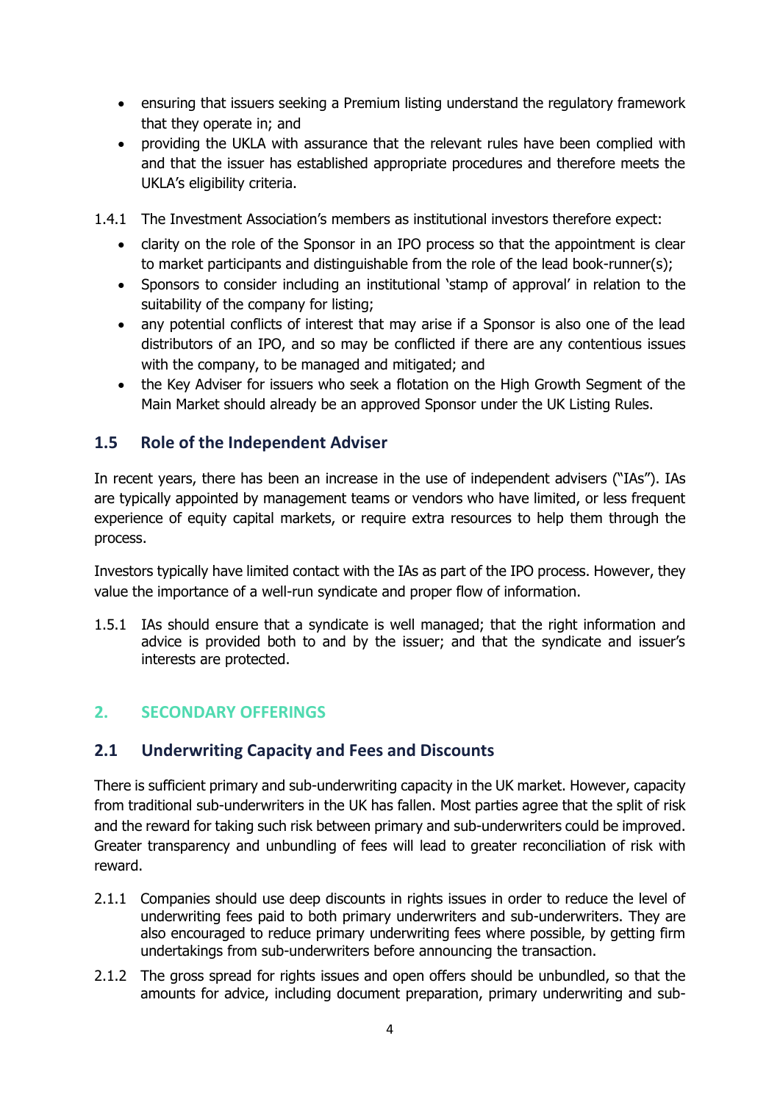- ensuring that issuers seeking a Premium listing understand the regulatory framework that they operate in; and
- providing the UKLA with assurance that the relevant rules have been complied with and that the issuer has established appropriate procedures and therefore meets the UKLA's eligibility criteria.

1.4.1 The Investment Association's members as institutional investors therefore expect:

- clarity on the role of the Sponsor in an IPO process so that the appointment is clear to market participants and distinguishable from the role of the lead book-runner(s);
- Sponsors to consider including an institutional 'stamp of approval' in relation to the suitability of the company for listing;
- any potential conflicts of interest that may arise if a Sponsor is also one of the lead distributors of an IPO, and so may be conflicted if there are any contentious issues with the company, to be managed and mitigated; and
- the Key Adviser for issuers who seek a flotation on the High Growth Segment of the Main Market should already be an approved Sponsor under the UK Listing Rules.

## **1.5 Role of the Independent Adviser**

In recent years, there has been an increase in the use of independent advisers ("IAs"). IAs are typically appointed by management teams or vendors who have limited, or less frequent experience of equity capital markets, or require extra resources to help them through the process.

Investors typically have limited contact with the IAs as part of the IPO process. However, they value the importance of a well-run syndicate and proper flow of information.

1.5.1 IAs should ensure that a syndicate is well managed; that the right information and advice is provided both to and by the issuer; and that the syndicate and issuer's interests are protected.

#### **2. SECONDARY OFFERINGS**

#### **2.1 Underwriting Capacity and Fees and Discounts**

There is sufficient primary and sub-underwriting capacity in the UK market. However, capacity from traditional sub-underwriters in the UK has fallen. Most parties agree that the split of risk and the reward for taking such risk between primary and sub-underwriters could be improved. Greater transparency and unbundling of fees will lead to greater reconciliation of risk with reward.

- 2.1.1 Companies should use deep discounts in rights issues in order to reduce the level of underwriting fees paid to both primary underwriters and sub-underwriters. They are also encouraged to reduce primary underwriting fees where possible, by getting firm undertakings from sub-underwriters before announcing the transaction.
- 2.1.2 The gross spread for rights issues and open offers should be unbundled, so that the amounts for advice, including document preparation, primary underwriting and sub-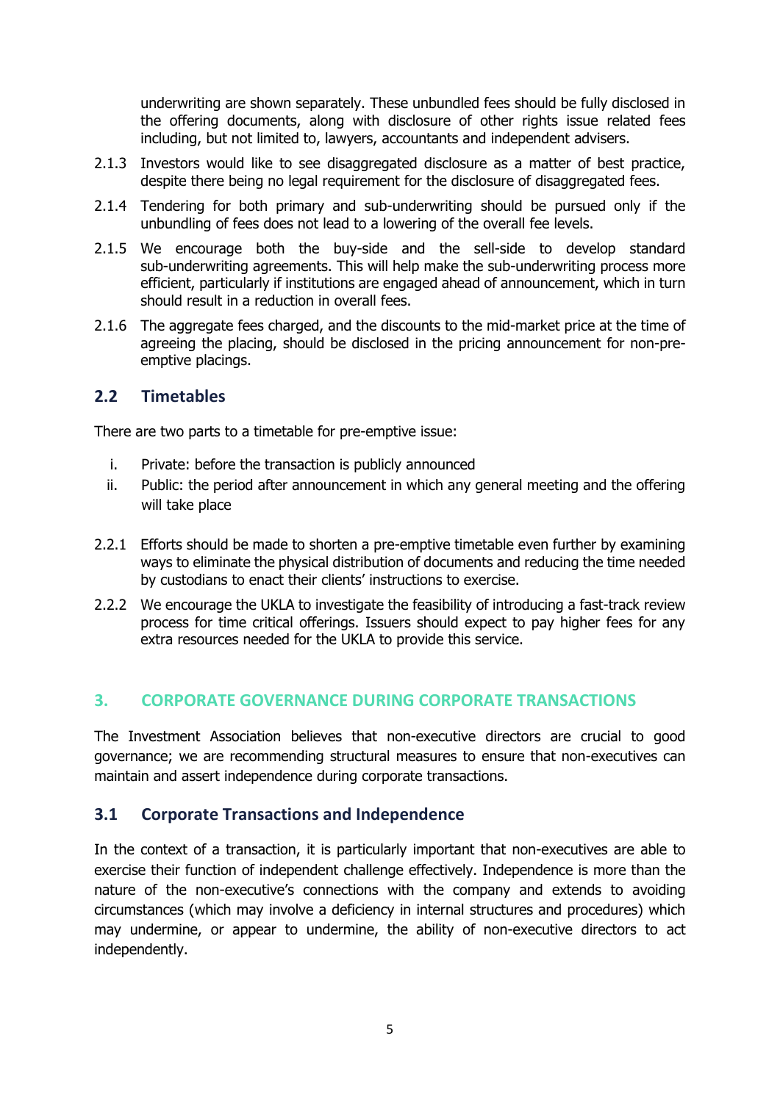underwriting are shown separately. These unbundled fees should be fully disclosed in the offering documents, along with disclosure of other rights issue related fees including, but not limited to, lawyers, accountants and independent advisers.

- 2.1.3 Investors would like to see disaggregated disclosure as a matter of best practice, despite there being no legal requirement for the disclosure of disaggregated fees.
- 2.1.4 Tendering for both primary and sub-underwriting should be pursued only if the unbundling of fees does not lead to a lowering of the overall fee levels.
- 2.1.5 We encourage both the buy-side and the sell-side to develop standard sub-underwriting agreements. This will help make the sub-underwriting process more efficient, particularly if institutions are engaged ahead of announcement, which in turn should result in a reduction in overall fees.
- 2.1.6 The aggregate fees charged, and the discounts to the mid-market price at the time of agreeing the placing, should be disclosed in the pricing announcement for non-preemptive placings.

#### **2.2 Timetables**

There are two parts to a timetable for pre-emptive issue:

- i. Private: before the transaction is publicly announced
- ii. Public: the period after announcement in which any general meeting and the offering will take place
- 2.2.1 Efforts should be made to shorten a pre-emptive timetable even further by examining ways to eliminate the physical distribution of documents and reducing the time needed by custodians to enact their clients' instructions to exercise.
- 2.2.2 We encourage the UKLA to investigate the feasibility of introducing a fast-track review process for time critical offerings. Issuers should expect to pay higher fees for any extra resources needed for the UKLA to provide this service.

#### **3. CORPORATE GOVERNANCE DURING CORPORATE TRANSACTIONS**

The Investment Association believes that non-executive directors are crucial to good governance; we are recommending structural measures to ensure that non-executives can maintain and assert independence during corporate transactions.

#### **3.1 Corporate Transactions and Independence**

In the context of a transaction, it is particularly important that non-executives are able to exercise their function of independent challenge effectively. Independence is more than the nature of the non-executive's connections with the company and extends to avoiding circumstances (which may involve a deficiency in internal structures and procedures) which may undermine, or appear to undermine, the ability of non-executive directors to act independently.